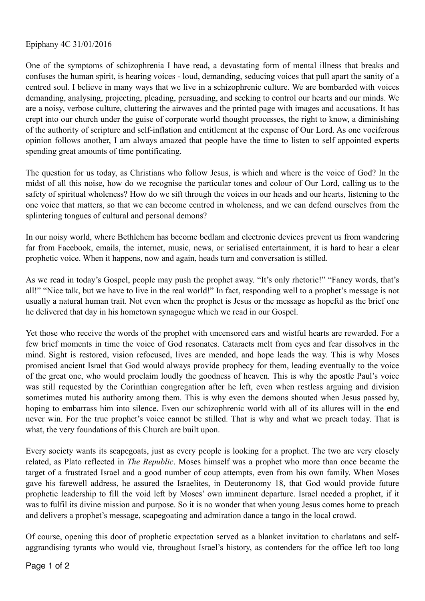Epiphany 4C 31/01/2016

One of the symptoms of schizophrenia I have read, a devastating form of mental illness that breaks and confuses the human spirit, is hearing voices - loud, demanding, seducing voices that pull apart the sanity of a centred soul. I believe in many ways that we live in a schizophrenic culture. We are bombarded with voices demanding, analysing, projecting, pleading, persuading, and seeking to control our hearts and our minds. We are a noisy, verbose culture, cluttering the airwaves and the printed page with images and accusations. It has crept into our church under the guise of corporate world thought processes, the right to know, a diminishing of the authority of scripture and self-inflation and entitlement at the expense of Our Lord. As one vociferous opinion follows another, I am always amazed that people have the time to listen to self appointed experts spending great amounts of time pontificating.

The question for us today, as Christians who follow Jesus, is which and where is the voice of God? In the midst of all this noise, how do we recognise the particular tones and colour of Our Lord, calling us to the safety of spiritual wholeness? How do we sift through the voices in our heads and our hearts, listening to the one voice that matters, so that we can become centred in wholeness, and we can defend ourselves from the splintering tongues of cultural and personal demons?

In our noisy world, where Bethlehem has become bedlam and electronic devices prevent us from wandering far from Facebook, emails, the internet, music, news, or serialised entertainment, it is hard to hear a clear prophetic voice. When it happens, now and again, heads turn and conversation is stilled.

As we read in today's Gospel, people may push the prophet away. "It's only rhetoric!" "Fancy words, that's all!" "Nice talk, but we have to live in the real world!" In fact, responding well to a prophet's message is not usually a natural human trait. Not even when the prophet is Jesus or the message as hopeful as the brief one he delivered that day in his hometown synagogue which we read in our Gospel.

Yet those who receive the words of the prophet with uncensored ears and wistful hearts are rewarded. For a few brief moments in time the voice of God resonates. Cataracts melt from eyes and fear dissolves in the mind. Sight is restored, vision refocused, lives are mended, and hope leads the way. This is why Moses promised ancient Israel that God would always provide prophecy for them, leading eventually to the voice of the great one, who would proclaim loudly the goodness of heaven. This is why the apostle Paul's voice was still requested by the Corinthian congregation after he left, even when restless arguing and division sometimes muted his authority among them. This is why even the demons shouted when Jesus passed by, hoping to embarrass him into silence. Even our schizophrenic world with all of its allures will in the end never win. For the true prophet's voice cannot be stilled. That is why and what we preach today. That is what, the very foundations of this Church are built upon.

Every society wants its scapegoats, just as every people is looking for a prophet. The two are very closely related, as Plato reflected in *The Republic*. Moses himself was a prophet who more than once became the target of a frustrated Israel and a good number of coup attempts, even from his own family. When Moses gave his farewell address, he assured the Israelites, in Deuteronomy 18, that God would provide future prophetic leadership to fill the void left by Moses' own imminent departure. Israel needed a prophet, if it was to fulfil its divine mission and purpose. So it is no wonder that when young Jesus comes home to preach and delivers a prophet's message, scapegoating and admiration dance a tango in the local crowd.

Of course, opening this door of prophetic expectation served as a blanket invitation to charlatans and selfaggrandising tyrants who would vie, throughout Israel's history, as contenders for the office left too long

Page 1 of 2